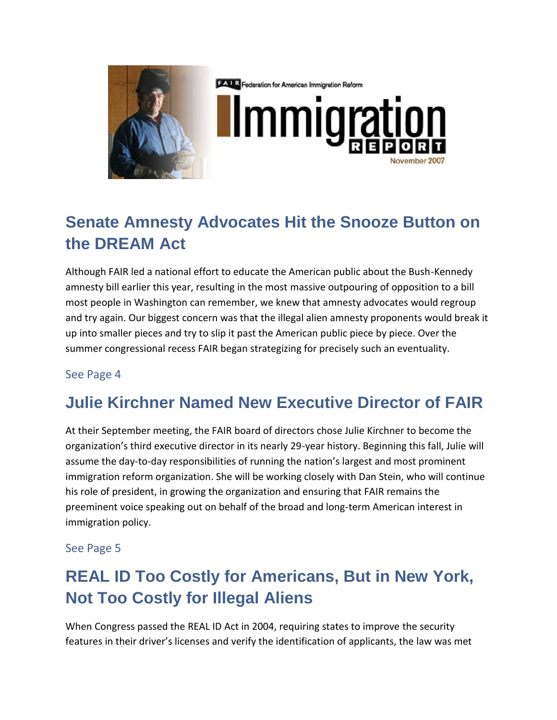

**EALR** Federation for American Immigration Reform

## **Senate Amnesty Advocates Hit the Snooze Button on the DREAM Act**

Although FAIR led a national effort to educate the American public about the Bush-Kennedy amnesty bill earlier this year, resulting in the most massive outpouring of opposition to a bill most people in Washington can remember, we knew that amnesty advocates would regroup and try again. Our biggest concern was that the illegal alien amnesty proponents would break it up into smaller pieces and try to slip it past the American public piece by piece. Over the summer congressional recess FAIR began strategizing for precisely such an eventuality.

#### See Page 4

## **Julie Kirchner Named New Executive Director of FAIR**

At their September meeting, the FAIR board of directors chose Julie Kirchner to become the organization's third executive director in its nearly 29-year history. Beginning this fall, Julie will assume the day-to-day responsibilities of running the nation's largest and most prominent immigration reform organization. She will be working closely with Dan Stein, who will continue his role of president, in growing the organization and ensuring that FAIR remains the preeminent voice speaking out on behalf of the broad and long-term American interest in immigration policy.

#### See Page 5

## **REAL ID Too Costly for Americans, But in New York, Not Too Costly for Illegal Aliens**

When Congress passed the REAL ID Act in 2004, requiring states to improve the security features in their driver's licenses and verify the identification of applicants, the law was met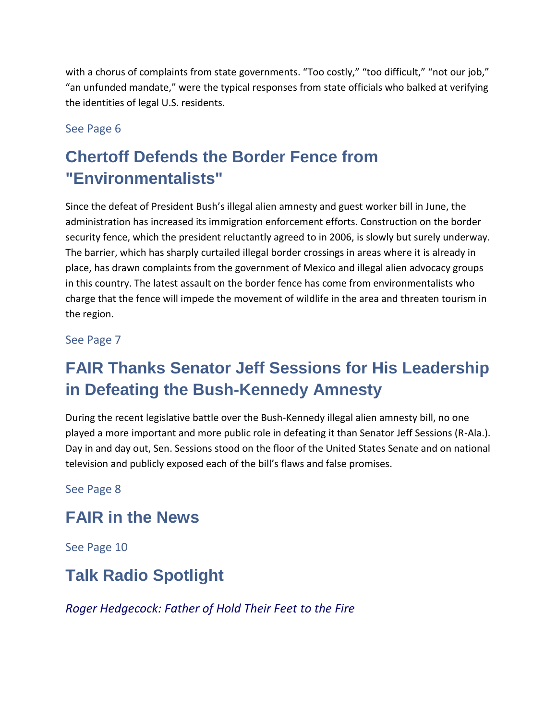with a chorus of complaints from state governments. "Too costly," "too difficult," "not our job," "an unfunded mandate," were the typical responses from state officials who balked at verifying the identities of legal U.S. residents.

#### See Page 6

# **Chertoff Defends the Border Fence from "Environmentalists"**

Since the defeat of President Bush's illegal alien amnesty and guest worker bill in June, the administration has increased its immigration enforcement efforts. Construction on the border security fence, which the president reluctantly agreed to in 2006, is slowly but surely underway. The barrier, which has sharply curtailed illegal border crossings in areas where it is already in place, has drawn complaints from the government of Mexico and illegal alien advocacy groups in this country. The latest assault on the border fence has come from environmentalists who charge that the fence will impede the movement of wildlife in the area and threaten tourism in the region.

See Page 7

# **FAIR Thanks Senator Jeff Sessions for His Leadership in Defeating the Bush-Kennedy Amnesty**

During the recent legislative battle over the Bush-Kennedy illegal alien amnesty bill, no one played a more important and more public role in defeating it than Senator Jeff Sessions (R-Ala.). Day in and day out, Sen. Sessions stood on the floor of the United States Senate and on national television and publicly exposed each of the bill's flaws and false promises.

See Page 8

### **FAIR in the News**

See Page 10

## **Talk Radio Spotlight**

*Roger Hedgecock: Father of Hold Their Feet to the Fire*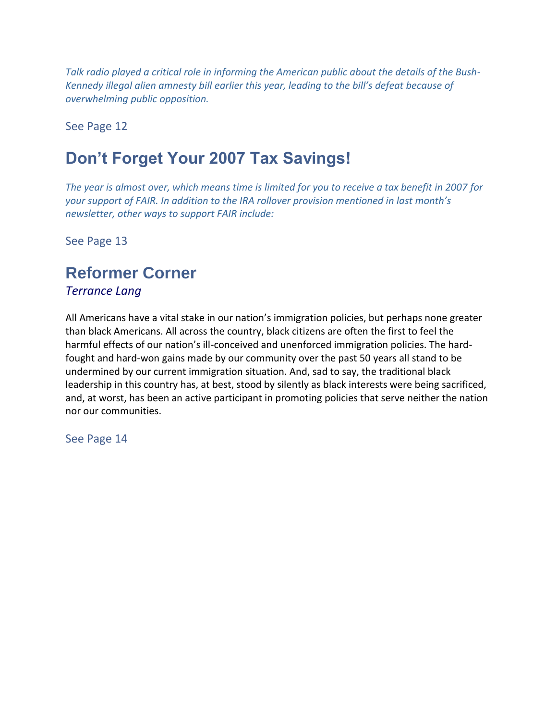*Talk radio played a critical role in informing the American public about the details of the Bush-Kennedy illegal alien amnesty bill earlier this year, leading to the bill's defeat because of overwhelming public opposition.* 

See Page 12

## **Don't Forget Your 2007 Tax Savings!**

*The year is almost over, which means time is limited for you to receive a tax benefit in 2007 for your support of FAIR. In addition to the IRA rollover provision mentioned in last month's newsletter, other ways to support FAIR include:*

See Page 13

### **Reformer Corner**

*Terrance Lang*

All Americans have a vital stake in our nation's immigration policies, but perhaps none greater than black Americans. All across the country, black citizens are often the first to feel the harmful effects of our nation's ill-conceived and unenforced immigration policies. The hardfought and hard-won gains made by our community over the past 50 years all stand to be undermined by our current immigration situation. And, sad to say, the traditional black leadership in this country has, at best, stood by silently as black interests were being sacrificed, and, at worst, has been an active participant in promoting policies that serve neither the nation nor our communities.

See Page 14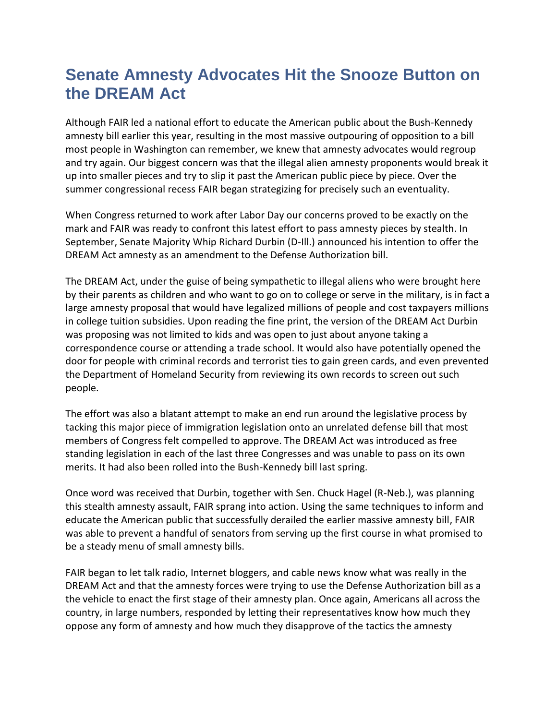## **Senate Amnesty Advocates Hit the Snooze Button on the DREAM Act**

Although FAIR led a national effort to educate the American public about the Bush-Kennedy amnesty bill earlier this year, resulting in the most massive outpouring of opposition to a bill most people in Washington can remember, we knew that amnesty advocates would regroup and try again. Our biggest concern was that the illegal alien amnesty proponents would break it up into smaller pieces and try to slip it past the American public piece by piece. Over the summer congressional recess FAIR began strategizing for precisely such an eventuality.

When Congress returned to work after Labor Day our concerns proved to be exactly on the mark and FAIR was ready to confront this latest effort to pass amnesty pieces by stealth. In September, Senate Majority Whip Richard Durbin (D-Ill.) announced his intention to offer the DREAM Act amnesty as an amendment to the Defense Authorization bill.

The DREAM Act, under the guise of being sympathetic to illegal aliens who were brought here by their parents as children and who want to go on to college or serve in the military, is in fact a large amnesty proposal that would have legalized millions of people and cost taxpayers millions in college tuition subsidies. Upon reading the fine print, the version of the DREAM Act Durbin was proposing was not limited to kids and was open to just about anyone taking a correspondence course or attending a trade school. It would also have potentially opened the door for people with criminal records and terrorist ties to gain green cards, and even prevented the Department of Homeland Security from reviewing its own records to screen out such people.

The effort was also a blatant attempt to make an end run around the legislative process by tacking this major piece of immigration legislation onto an unrelated defense bill that most members of Congress felt compelled to approve. The DREAM Act was introduced as free standing legislation in each of the last three Congresses and was unable to pass on its own merits. It had also been rolled into the Bush-Kennedy bill last spring.

Once word was received that Durbin, together with Sen. Chuck Hagel (R-Neb.), was planning this stealth amnesty assault, FAIR sprang into action. Using the same techniques to inform and educate the American public that successfully derailed the earlier massive amnesty bill, FAIR was able to prevent a handful of senators from serving up the first course in what promised to be a steady menu of small amnesty bills.

FAIR began to let talk radio, Internet bloggers, and cable news know what was really in the DREAM Act and that the amnesty forces were trying to use the Defense Authorization bill as a the vehicle to enact the first stage of their amnesty plan. Once again, Americans all across the country, in large numbers, responded by letting their representatives know how much they oppose any form of amnesty and how much they disapprove of the tactics the amnesty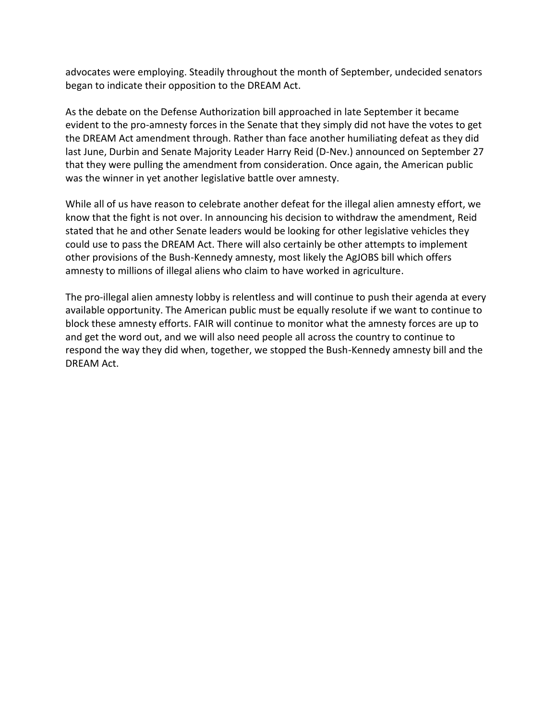advocates were employing. Steadily throughout the month of September, undecided senators began to indicate their opposition to the DREAM Act.

As the debate on the Defense Authorization bill approached in late September it became evident to the pro-amnesty forces in the Senate that they simply did not have the votes to get the DREAM Act amendment through. Rather than face another humiliating defeat as they did last June, Durbin and Senate Majority Leader Harry Reid (D-Nev.) announced on September 27 that they were pulling the amendment from consideration. Once again, the American public was the winner in yet another legislative battle over amnesty.

While all of us have reason to celebrate another defeat for the illegal alien amnesty effort, we know that the fight is not over. In announcing his decision to withdraw the amendment, Reid stated that he and other Senate leaders would be looking for other legislative vehicles they could use to pass the DREAM Act. There will also certainly be other attempts to implement other provisions of the Bush-Kennedy amnesty, most likely the AgJOBS bill which offers amnesty to millions of illegal aliens who claim to have worked in agriculture.

The pro-illegal alien amnesty lobby is relentless and will continue to push their agenda at every available opportunity. The American public must be equally resolute if we want to continue to block these amnesty efforts. FAIR will continue to monitor what the amnesty forces are up to and get the word out, and we will also need people all across the country to continue to respond the way they did when, together, we stopped the Bush-Kennedy amnesty bill and the DREAM Act.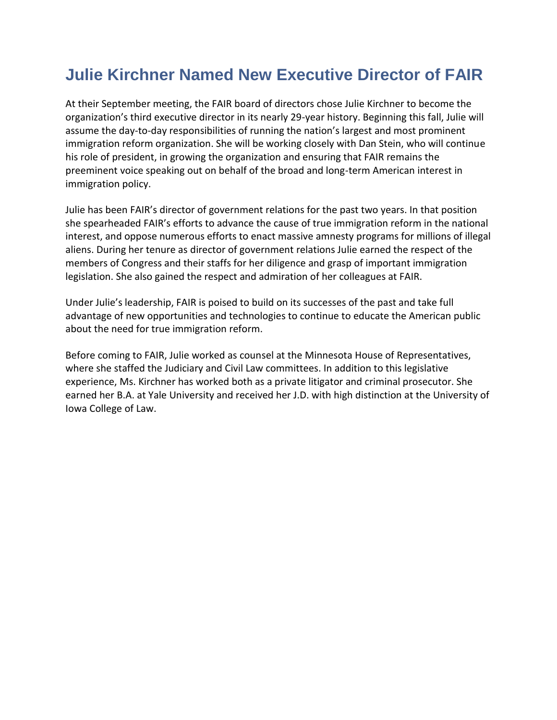## **Julie Kirchner Named New Executive Director of FAIR**

At their September meeting, the FAIR board of directors chose Julie Kirchner to become the organization's third executive director in its nearly 29-year history. Beginning this fall, Julie will assume the day-to-day responsibilities of running the nation's largest and most prominent immigration reform organization. She will be working closely with Dan Stein, who will continue his role of president, in growing the organization and ensuring that FAIR remains the preeminent voice speaking out on behalf of the broad and long-term American interest in immigration policy.

Julie has been FAIR's director of government relations for the past two years. In that position she spearheaded FAIR's efforts to advance the cause of true immigration reform in the national interest, and oppose numerous efforts to enact massive amnesty programs for millions of illegal aliens. During her tenure as director of government relations Julie earned the respect of the members of Congress and their staffs for her diligence and grasp of important immigration legislation. She also gained the respect and admiration of her colleagues at FAIR.

Under Julie's leadership, FAIR is poised to build on its successes of the past and take full advantage of new opportunities and technologies to continue to educate the American public about the need for true immigration reform.

Before coming to FAIR, Julie worked as counsel at the Minnesota House of Representatives, where she staffed the Judiciary and Civil Law committees. In addition to this legislative experience, Ms. Kirchner has worked both as a private litigator and criminal prosecutor. She earned her B.A. at Yale University and received her J.D. with high distinction at the University of Iowa College of Law.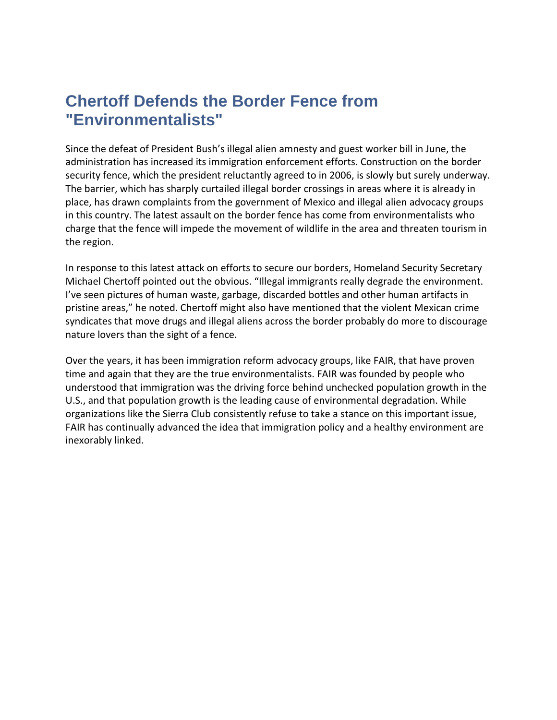## **Chertoff Defends the Border Fence from "Environmentalists"**

Since the defeat of President Bush's illegal alien amnesty and guest worker bill in June, the administration has increased its immigration enforcement efforts. Construction on the border security fence, which the president reluctantly agreed to in 2006, is slowly but surely underway. The barrier, which has sharply curtailed illegal border crossings in areas where it is already in place, has drawn complaints from the government of Mexico and illegal alien advocacy groups in this country. The latest assault on the border fence has come from environmentalists who charge that the fence will impede the movement of wildlife in the area and threaten tourism in the region.

In response to this latest attack on efforts to secure our borders, Homeland Security Secretary Michael Chertoff pointed out the obvious. "Illegal immigrants really degrade the environment. I've seen pictures of human waste, garbage, discarded bottles and other human artifacts in pristine areas," he noted. Chertoff might also have mentioned that the violent Mexican crime syndicates that move drugs and illegal aliens across the border probably do more to discourage nature lovers than the sight of a fence.

Over the years, it has been immigration reform advocacy groups, like FAIR, that have proven time and again that they are the true environmentalists. FAIR was founded by people who understood that immigration was the driving force behind unchecked population growth in the U.S., and that population growth is the leading cause of environmental degradation. While organizations like the Sierra Club consistently refuse to take a stance on this important issue, FAIR has continually advanced the idea that immigration policy and a healthy environment are inexorably linked.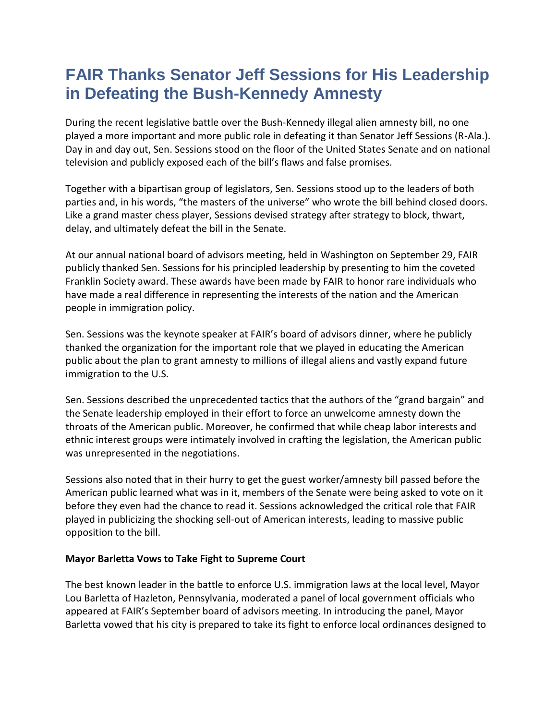## **FAIR Thanks Senator Jeff Sessions for His Leadership in Defeating the Bush-Kennedy Amnesty**

During the recent legislative battle over the Bush-Kennedy illegal alien amnesty bill, no one played a more important and more public role in defeating it than Senator Jeff Sessions (R-Ala.). Day in and day out, Sen. Sessions stood on the floor of the United States Senate and on national television and publicly exposed each of the bill's flaws and false promises.

Together with a bipartisan group of legislators, Sen. Sessions stood up to the leaders of both parties and, in his words, "the masters of the universe" who wrote the bill behind closed doors. Like a grand master chess player, Sessions devised strategy after strategy to block, thwart, delay, and ultimately defeat the bill in the Senate.

At our annual national board of advisors meeting, held in Washington on September 29, FAIR publicly thanked Sen. Sessions for his principled leadership by presenting to him the coveted Franklin Society award. These awards have been made by FAIR to honor rare individuals who have made a real difference in representing the interests of the nation and the American people in immigration policy.

Sen. Sessions was the keynote speaker at FAIR's board of advisors dinner, where he publicly thanked the organization for the important role that we played in educating the American public about the plan to grant amnesty to millions of illegal aliens and vastly expand future immigration to the U.S.

Sen. Sessions described the unprecedented tactics that the authors of the "grand bargain" and the Senate leadership employed in their effort to force an unwelcome amnesty down the throats of the American public. Moreover, he confirmed that while cheap labor interests and ethnic interest groups were intimately involved in crafting the legislation, the American public was unrepresented in the negotiations.

Sessions also noted that in their hurry to get the guest worker/amnesty bill passed before the American public learned what was in it, members of the Senate were being asked to vote on it before they even had the chance to read it. Sessions acknowledged the critical role that FAIR played in publicizing the shocking sell-out of American interests, leading to massive public opposition to the bill.

#### **Mayor Barletta Vows to Take Fight to Supreme Court**

The best known leader in the battle to enforce U.S. immigration laws at the local level, Mayor Lou Barletta of Hazleton, Pennsylvania, moderated a panel of local government officials who appeared at FAIR's September board of advisors meeting. In introducing the panel, Mayor Barletta vowed that his city is prepared to take its fight to enforce local ordinances designed to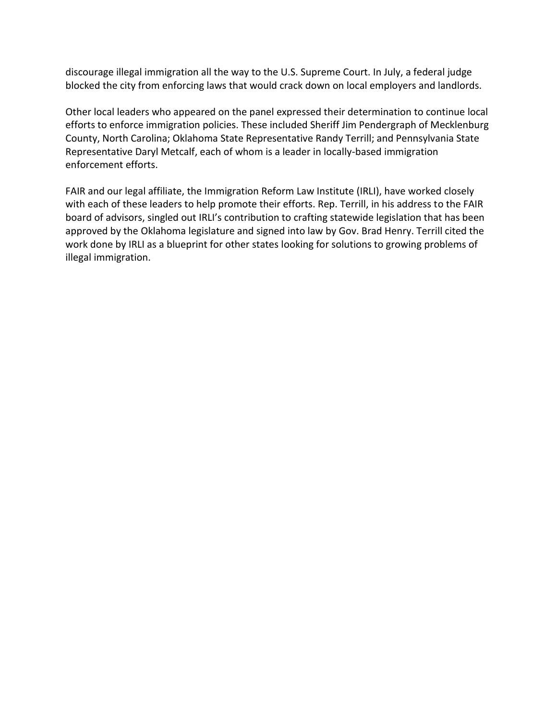discourage illegal immigration all the way to the U.S. Supreme Court. In July, a federal judge blocked the city from enforcing laws that would crack down on local employers and landlords.

Other local leaders who appeared on the panel expressed their determination to continue local efforts to enforce immigration policies. These included Sheriff Jim Pendergraph of Mecklenburg County, North Carolina; Oklahoma State Representative Randy Terrill; and Pennsylvania State Representative Daryl Metcalf, each of whom is a leader in locally-based immigration enforcement efforts.

FAIR and our legal affiliate, the Immigration Reform Law Institute (IRLI), have worked closely with each of these leaders to help promote their efforts. Rep. Terrill, in his address to the FAIR board of advisors, singled out IRLI's contribution to crafting statewide legislation that has been approved by the Oklahoma legislature and signed into law by Gov. Brad Henry. Terrill cited the work done by IRLI as a blueprint for other states looking for solutions to growing problems of illegal immigration.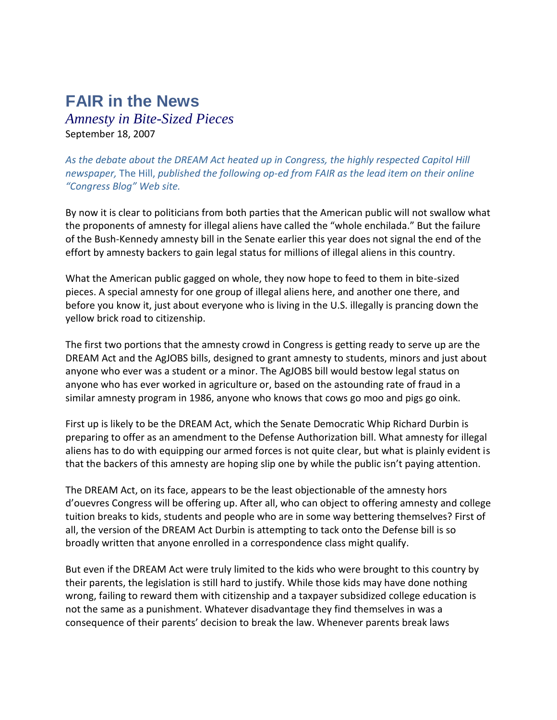## **FAIR in the News**

*Amnesty in Bite-Sized Pieces* September 18, 2007

*As the debate about the DREAM Act heated up in Congress, the highly respected Capitol Hill newspaper,* The Hill, *published the following op-ed from FAIR as the lead item on their online "Congress Blog" Web site.*

By now it is clear to politicians from both parties that the American public will not swallow what the proponents of amnesty for illegal aliens have called the "whole enchilada." But the failure of the Bush-Kennedy amnesty bill in the Senate earlier this year does not signal the end of the effort by amnesty backers to gain legal status for millions of illegal aliens in this country.

What the American public gagged on whole, they now hope to feed to them in bite-sized pieces. A special amnesty for one group of illegal aliens here, and another one there, and before you know it, just about everyone who is living in the U.S. illegally is prancing down the yellow brick road to citizenship.

The first two portions that the amnesty crowd in Congress is getting ready to serve up are the DREAM Act and the AgJOBS bills, designed to grant amnesty to students, minors and just about anyone who ever was a student or a minor. The AgJOBS bill would bestow legal status on anyone who has ever worked in agriculture or, based on the astounding rate of fraud in a similar amnesty program in 1986, anyone who knows that cows go moo and pigs go oink.

First up is likely to be the DREAM Act, which the Senate Democratic Whip Richard Durbin is preparing to offer as an amendment to the Defense Authorization bill. What amnesty for illegal aliens has to do with equipping our armed forces is not quite clear, but what is plainly evident is that the backers of this amnesty are hoping slip one by while the public isn't paying attention.

The DREAM Act, on its face, appears to be the least objectionable of the amnesty hors d'ouevres Congress will be offering up. After all, who can object to offering amnesty and college tuition breaks to kids, students and people who are in some way bettering themselves? First of all, the version of the DREAM Act Durbin is attempting to tack onto the Defense bill is so broadly written that anyone enrolled in a correspondence class might qualify.

But even if the DREAM Act were truly limited to the kids who were brought to this country by their parents, the legislation is still hard to justify. While those kids may have done nothing wrong, failing to reward them with citizenship and a taxpayer subsidized college education is not the same as a punishment. Whatever disadvantage they find themselves in was a consequence of their parents' decision to break the law. Whenever parents break laws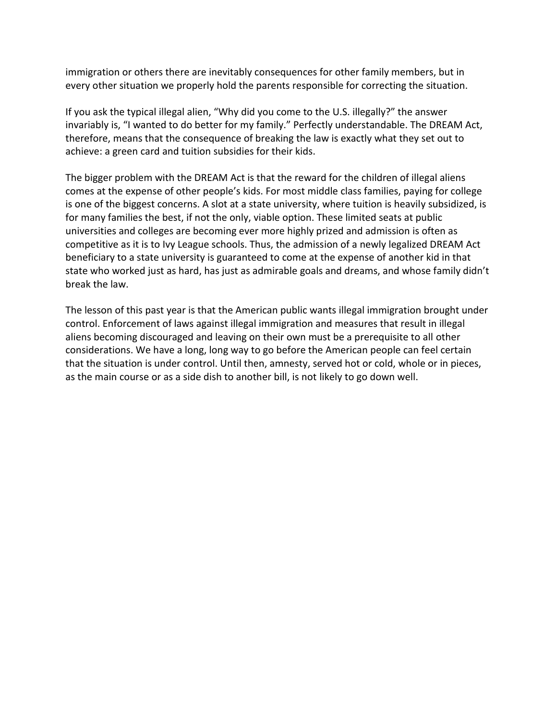immigration or others there are inevitably consequences for other family members, but in every other situation we properly hold the parents responsible for correcting the situation.

If you ask the typical illegal alien, "Why did you come to the U.S. illegally?" the answer invariably is, "I wanted to do better for my family." Perfectly understandable. The DREAM Act, therefore, means that the consequence of breaking the law is exactly what they set out to achieve: a green card and tuition subsidies for their kids.

The bigger problem with the DREAM Act is that the reward for the children of illegal aliens comes at the expense of other people's kids. For most middle class families, paying for college is one of the biggest concerns. A slot at a state university, where tuition is heavily subsidized, is for many families the best, if not the only, viable option. These limited seats at public universities and colleges are becoming ever more highly prized and admission is often as competitive as it is to Ivy League schools. Thus, the admission of a newly legalized DREAM Act beneficiary to a state university is guaranteed to come at the expense of another kid in that state who worked just as hard, has just as admirable goals and dreams, and whose family didn't break the law.

The lesson of this past year is that the American public wants illegal immigration brought under control. Enforcement of laws against illegal immigration and measures that result in illegal aliens becoming discouraged and leaving on their own must be a prerequisite to all other considerations. We have a long, long way to go before the American people can feel certain that the situation is under control. Until then, amnesty, served hot or cold, whole or in pieces, as the main course or as a side dish to another bill, is not likely to go down well.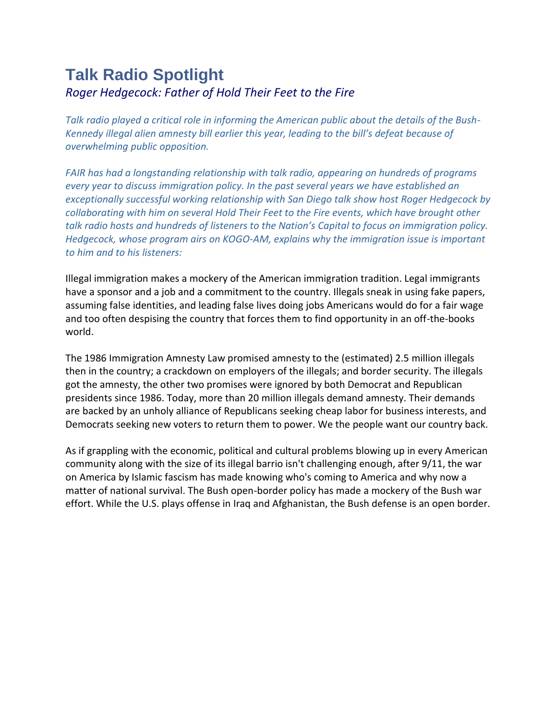## **Talk Radio Spotlight** *Roger Hedgecock: Father of Hold Their Feet to the Fire*

*Talk radio played a critical role in informing the American public about the details of the Bush-Kennedy illegal alien amnesty bill earlier this year, leading to the bill's defeat because of overwhelming public opposition.* 

*FAIR has had a longstanding relationship with talk radio, appearing on hundreds of programs every year to discuss immigration policy. In the past several years we have established an exceptionally successful working relationship with San Diego talk show host Roger Hedgecock by collaborating with him on several Hold Their Feet to the Fire events, which have brought other talk radio hosts and hundreds of listeners to the Nation's Capital to focus on immigration policy. Hedgecock, whose program airs on KOGO-AM, explains why the immigration issue is important to him and to his listeners:*

Illegal immigration makes a mockery of the American immigration tradition. Legal immigrants have a sponsor and a job and a commitment to the country. Illegals sneak in using fake papers, assuming false identities, and leading false lives doing jobs Americans would do for a fair wage and too often despising the country that forces them to find opportunity in an off-the-books world.

The 1986 Immigration Amnesty Law promised amnesty to the (estimated) 2.5 million illegals then in the country; a crackdown on employers of the illegals; and border security. The illegals got the amnesty, the other two promises were ignored by both Democrat and Republican presidents since 1986. Today, more than 20 million illegals demand amnesty. Their demands are backed by an unholy alliance of Republicans seeking cheap labor for business interests, and Democrats seeking new voters to return them to power. We the people want our country back.

As if grappling with the economic, political and cultural problems blowing up in every American community along with the size of its illegal barrio isn't challenging enough, after 9/11, the war on America by Islamic fascism has made knowing who's coming to America and why now a matter of national survival. The Bush open-border policy has made a mockery of the Bush war effort. While the U.S. plays offense in Iraq and Afghanistan, the Bush defense is an open border.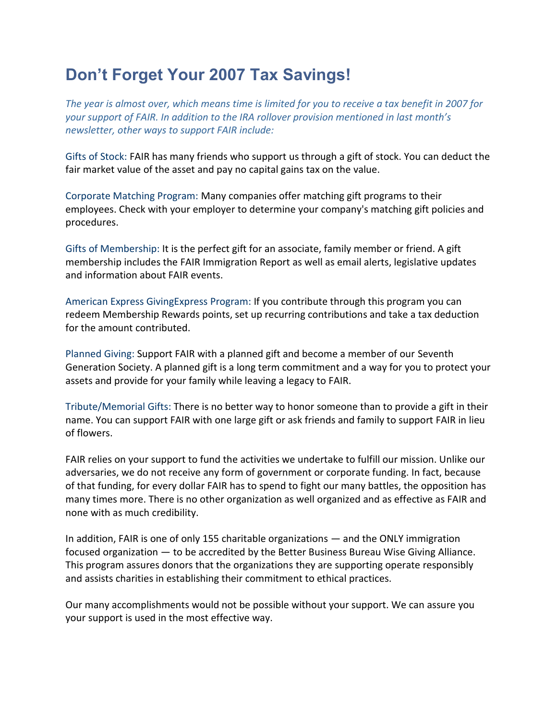## **Don't Forget Your 2007 Tax Savings!**

*The year is almost over, which means time is limited for you to receive a tax benefit in 2007 for your support of FAIR. In addition to the IRA rollover provision mentioned in last month's newsletter, other ways to support FAIR include:*

Gifts of Stock: FAIR has many friends who support us through a gift of stock. You can deduct the fair market value of the asset and pay no capital gains tax on the value.

Corporate Matching Program: Many companies offer matching gift programs to their employees. Check with your employer to determine your company's matching gift policies and procedures.

Gifts of Membership: It is the perfect gift for an associate, family member or friend. A gift membership includes the FAIR Immigration Report as well as email alerts, legislative updates and information about FAIR events.

American Express GivingExpress Program: If you contribute through this program you can redeem Membership Rewards points, set up recurring contributions and take a tax deduction for the amount contributed.

Planned Giving: Support FAIR with a planned gift and become a member of our Seventh Generation Society. A planned gift is a long term commitment and a way for you to protect your assets and provide for your family while leaving a legacy to FAIR.

Tribute/Memorial Gifts: There is no better way to honor someone than to provide a gift in their name. You can support FAIR with one large gift or ask friends and family to support FAIR in lieu of flowers.

FAIR relies on your support to fund the activities we undertake to fulfill our mission. Unlike our adversaries, we do not receive any form of government or corporate funding. In fact, because of that funding, for every dollar FAIR has to spend to fight our many battles, the opposition has many times more. There is no other organization as well organized and as effective as FAIR and none with as much credibility.

In addition, FAIR is one of only 155 charitable organizations — and the ONLY immigration focused organization — to be accredited by the Better Business Bureau Wise Giving Alliance. This program assures donors that the organizations they are supporting operate responsibly and assists charities in establishing their commitment to ethical practices.

Our many accomplishments would not be possible without your support. We can assure you your support is used in the most effective way.